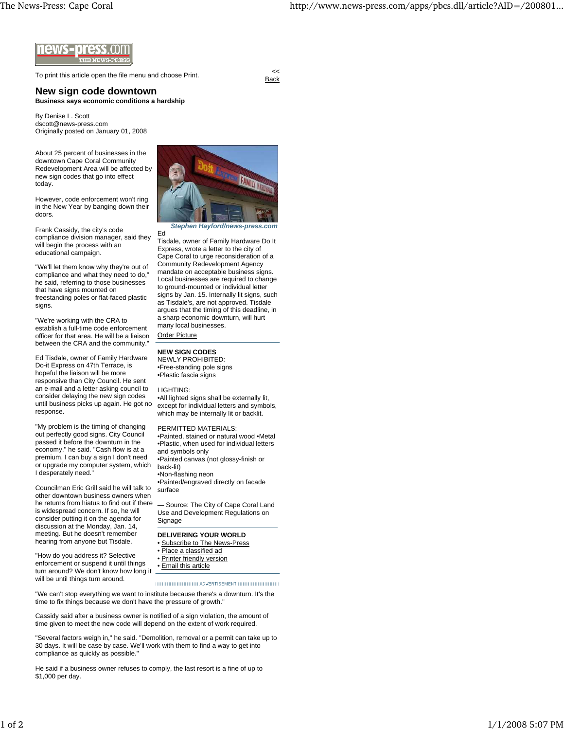

To print this article open the file menu and choose Print.

**Back** 

**New sign code downtown Business says economic conditions a hardship**

By Denise L. Scott dscott@news-press.com Originally posted on January 01, 2008

About 25 percent of businesses in the downtown Cape Coral Community Redevelopment Area will be affected by new sign codes that go into effect today.

However, code enforcement won't ring in the New Year by banging down their doors.

Frank Cassidy, the city's code compliance division manager, said they will begin the process with an educational campaign.

"We'll let them know why they're out of compliance and what they need to do," he said, referring to those businesses that have signs mounted on freestanding poles or flat-faced plastic signs.

"We're working with the CRA to establish a full-time code enforcement officer for that area. He will be a liaison between the CRA and the community.'

Ed Tisdale, owner of Family Hardware Do-it Express on 47th Terrace, is hopeful the liaison will be more responsive than City Council. He sent an e-mail and a letter asking council to consider delaying the new sign codes until business picks up again. He got no response.

"My problem is the timing of changing out perfectly good signs. City Council passed it before the downturn in the economy," he said. "Cash flow is at a premium. I can buy a sign I don't need or upgrade my computer system, which I desperately need."

Councilman Eric Grill said he will talk to other downtown business owners when he returns from hiatus to find out if there is widespread concern. If so, he will consider putting it on the agenda for discussion at the Monday, Jan. 14, meeting. But he doesn't remember hearing from anyone but Tisdale.

"How do you address it? Selective enforcement or suspend it until things turn around? We don't know how long it will be until things turn around.



*Stephen Hayford/news-press.com*

Ed Tisdale, owner of Family Hardware Do It Express, wrote a letter to the city of Cape Coral to urge reconsideration of a Community Redevelopment Agency mandate on acceptable business signs. Local businesses are required to change to ground-mounted or individual letter signs by Jan. 15. Internally lit signs, such as Tisdale's, are not approved. Tisdale argues that the timing of this deadline, in a sharp economic downturn, will hurt many local businesses. Order Picture

**NEW SIGN CODES** NEWLY PROHIBITED:

•Free-standing pole signs •Plastic fascia signs

## LIGHTING:

•All lighted signs shall be externally lit, except for individual letters and symbols, which may be internally lit or backlit.

## PERMITTED MATERIALS:

•Painted, stained or natural wood •Metal •Plastic, when used for individual letters and symbols only •Painted canvas (not glossy-finish or back-lit) •Non-flashing neon

•Painted/engraved directly on facade surface

— Source: The City of Cape Coral Land Use and Development Regulations on Signage

## **DELIVERING YOUR WORLD**

- Subscribe to The News-Press
- Place a classified ad
- Printer friendly version
- Email this article

"We can't stop everything we want to institute because there's a downturn. It's the time to fix things because we don't have the pressure of growth."

Cassidy said after a business owner is notified of a sign violation, the amount of time given to meet the new code will depend on the extent of work required.

"Several factors weigh in," he said. "Demolition, removal or a permit can take up to 30 days. It will be case by case. We'll work with them to find a way to get into compliance as quickly as possible."

He said if a business owner refuses to comply, the last resort is a fine of up to \$1,000 per day.